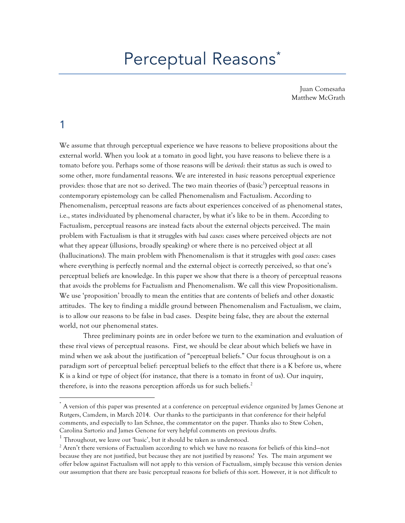# Perceptual Reasons\*

Juan Comesaña Matthew McGrath

### 1

We assume that through perceptual experience we have reasons to believe propositions about the external world. When you look at a tomato in good light, you have reasons to believe there is a tomato before you. Perhaps some of those reasons will be *derived*: their status as such is owed to some other, more fundamental reasons. We are interested in *basic* reasons perceptual experience provides: those that are not so derived. The two main theories of (basic<sup>1</sup>) perceptual reasons in contemporary epistemology can be called Phenomenalism and Factualism. According to Phenomenalism, perceptual reasons are facts about experiences conceived of as phenomenal states, i.e., states individuated by phenomenal character, by what it's like to be in them. According to Factualism, perceptual reasons are instead facts about the external objects perceived. The main problem with Factualism is that it struggles with *bad cases*: cases where perceived objects are not what they appear (illusions, broadly speaking) or where there is no perceived object at all (hallucinations). The main problem with Phenomenalism is that it struggles with *good cases*: cases where everything is perfectly normal and the external object is correctly perceived, so that one's perceptual beliefs are knowledge. In this paper we show that there is a theory of perceptual reasons that avoids the problems for Factualism and Phenomenalism. We call this view Propositionalism. We use 'proposition' broadly to mean the entities that are contents of beliefs and other doxastic attitudes. The key to finding a middle ground between Phenomenalism and Factualism, we claim, is to allow our reasons to be false in bad cases. Despite being false, they are about the external world, not our phenomenal states.

Three preliminary points are in order before we turn to the examination and evaluation of these rival views of perceptual reasons. First, we should be clear about which beliefs we have in mind when we ask about the justification of "perceptual beliefs." Our focus throughout is on a paradigm sort of perceptual belief: perceptual beliefs to the effect that there is a K before us, where K is a kind or type of object (for instance, that there is a tomato in front of us). Our inquiry, therefore, is into the reasons perception affords us for such beliefs.<sup>2</sup>

A version of this paper was presented at a conference on perceptual evidence organized by James Genone at Rutgers, Camdem, in March 2014. Our thanks to the participants in that conference for their helpful comments, and especially to Ian Schnee, the commentator on the paper. Thanks also to Stew Cohen, Carolina Sartorio and James Genone for very helpful comments on previous drafts.

<sup>&</sup>lt;sup>1</sup> Throughout, we leave out 'basic', but it should be taken as understood.

 $2^2$  Aren't there versions of Factualism according to which we have no reasons for beliefs of this kind—not because they are not justified, but because they are not justified by reasons? Yes. The main argument we offer below against Factualism will not apply to this version of Factualism, simply because this version denies our assumption that there are basic perceptual reasons for beliefs of this sort. However, it is not difficult to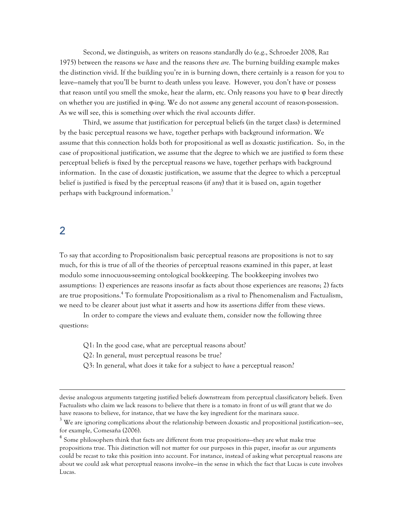Second, we distinguish, as writers on reasons standardly do (e.g., Schroeder 2008, Raz 1975) between the reasons *we have* and the reasons *there are.* The burning building example makes the distinction vivid. If the building you're in is burning down, there certainly is a reason for you to leave—namely that you'll be burnt to death unless you leave. However, you don't have or possess that reason until you smell the smoke, hear the alarm, etc. Only reasons you have to φ bear directly on whether you are justified in φ-ing. We do not *assume* any general account of reason-possession. As we will see, this is something over which the rival accounts differ.

Third, we assume that justification for perceptual beliefs (in the target class) is determined by the basic perceptual reasons we have, together perhaps with background information. We assume that this connection holds both for propositional as well as doxastic justification. So, in the case of propositional justification, we assume that the degree to which we are justified *to* form these perceptual beliefs is fixed by the perceptual reasons we have, together perhaps with background information. In the case of doxastic justification, we assume that the degree to which a perceptual belief is justified is fixed by the perceptual reasons (if any) that it is based on, again together perhaps with background information.<sup>3</sup>

### 2

 $\overline{a}$ 

To say that according to Propositionalism basic perceptual reasons are propositions is not to say much, for this is true of all of the theories of perceptual reasons examined in this paper, at least modulo some innocuous-seeming ontological bookkeeping. The bookkeeping involves two assumptions: 1) experiences are reasons insofar as facts about those experiences are reasons; 2) facts are true propositions.<sup>4</sup> To formulate Propositionalism as a rival to Phenomenalism and Factualism, we need to be clearer about just what it asserts and how its assertions differ from these views.

In order to compare the views and evaluate them, consider now the following three questions:

Q1: In the good case, what are perceptual reasons about?

Q2: In general, must perceptual reasons be true?

Q3: In general, what does it take for a subject to *have* a perceptual reason?

devise analogous arguments targeting justified beliefs downstream from perceptual classificatory beliefs. Even Factualists who claim we lack reasons to believe that there is a tomato in front of us will grant that we do have reasons to believe, for instance, that we have the key ingredient for the marinara sauce.

<sup>&</sup>lt;sup>3</sup> We are ignoring complications about the relationship between doxastic and propositional justification–see, for example, Comesaña (2006).

<sup>&</sup>lt;sup>4</sup> Some philosophers think that facts are different from true propositions-they are what make true propositions true. This distinction will not matter for our purposes in this paper, insofar as our arguments could be recast to take this position into account. For instance, instead of asking what perceptual reasons are about we could ask what perceptual reasons involve—in the sense in which the fact that Lucas is cute involves Lucas.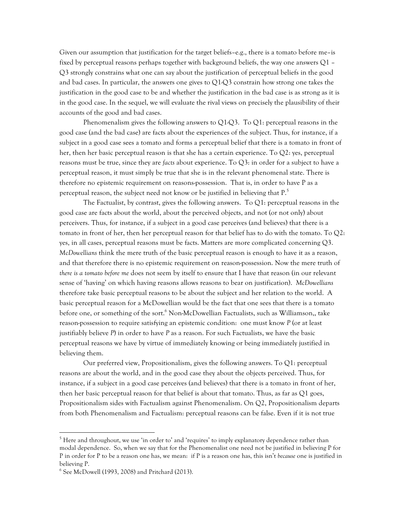Given our assumption that justification for the target beliefs–e.g., there is a tomato before me–is fixed by perceptual reasons perhaps together with background beliefs, the way one answers  $Q1$  – Q3 strongly constrains what one can say about the justification of perceptual beliefs in the good and bad cases. In particular, the answers one gives to  $Q1-Q3$  constrain how strong one takes the justification in the good case to be and whether the justification in the bad case is as strong as it is in the good case. In the sequel, we will evaluate the rival views on precisely the plausibility of their accounts of the good and bad cases.

Phenomenalism gives the following answers to  $Q1-Q3$ . To  $Q1$ : perceptual reasons in the good case (and the bad case) are facts about the experiences of the subject. Thus, for instance, if a subject in a good case sees a tomato and forms a perceptual belief that there is a tomato in front of her, then her basic perceptual reason is that she has a certain experience. To Q2: yes, perceptual reasons must be true, since they are *facts* about experience. To Q3: in order for a subject to have a perceptual reason, it must simply be true that she is in the relevant phenomenal state. There is therefore no epistemic requirement on reasons-possession. That is, in order to have P as a perceptual reason, the subject need not know or be justified in believing that  $\mathrm{P}^\mathrm{5}$ 

The Factualist, by contrast, gives the following answers. To  $Q1$ : perceptual reasons in the good case are facts about the world, about the perceived objects, and not (or not only) about perceivers. Thus, for instance, if a subject in a good case perceives (and believes) that there is a tomato in front of her, then her perceptual reason for that belief has to do with the tomato. To Q2: yes, in all cases, perceptual reasons must be facts. Matters are more complicated concerning Q3. *McDowellians* think the mere truth of the basic perceptual reason is enough to have it as a reason, and that therefore there is no epistemic requirement on reason-possession. Now the mere truth of *there is a tomato before me* does not seem by itself to ensure that I have that reason (in our relevant sense of 'having' on which having reasons allows reasons to bear on justification). *McDowellians* therefore take basic perceptual reasons to be about the subject and her relation to the world. A basic perceptual reason for a McDowellian would be the fact that one sees that there is a tomato before one, or something of the sort.<sup>6</sup> Non-McDowellian Factualists, such as Williamson,, take reason-possession to require satisfying an epistemic condition: one must know *P* (or at least justifiably believe *P*) in order to have *P* as a reason. For such Factualists, we have the basic perceptual reasons we have by virtue of immediately knowing or being immediately justified in believing them.

Our preferred view, Propositionalism, gives the following answers. To Q1: perceptual reasons are about the world, and in the good case they about the objects perceived. Thus, for instance, if a subject in a good case perceives (and believes) that there is a tomato in front of her, then her basic perceptual reason for that belief is about that tomato. Thus, as far as  $Q1$  goes, Propositionalism sides with Factualism against Phenomenalism. On Q2, Propositionalism departs from both Phenomenalism and Factualism: perceptual reasons can be false. Even if it is not true

<sup>&</sup>lt;sup>5</sup> Here and throughout, we use 'in order to' and 'requires' to imply explanatory dependence rather than modal dependence. So, when we say that for the Phenomenalist one need not be justified in believing P for P in order for P to be a reason one has, we mean: if P is a reason one has, this isn't *because* one is justified in believing P.

 $6$  See McDowell (1993, 2008) and Pritchard (2013).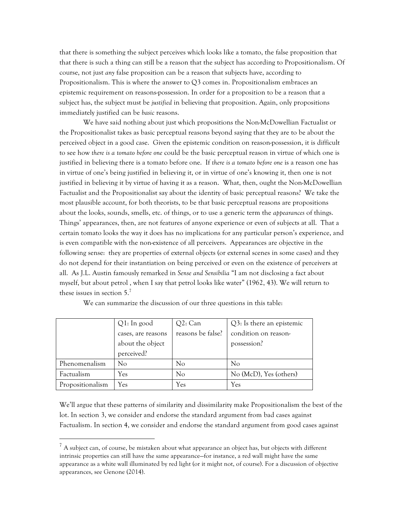that there is something the subject perceives which looks like a tomato, the false proposition that that there is such a thing can still be a reason that the subject has according to Propositionalism. Of course, not just *any* false proposition can be a reason that subjects have, according to Propositionalism. This is where the answer to  $Q3$  comes in. Propositionalism embraces an epistemic requirement on reasons-possession. In order for a proposition to be a reason that a subject has, the subject must be *justified* in believing that proposition. Again, only propositions immediately justified can be *basic* reasons.

We have said nothing about just which propositions the Non-McDowellian Factualist or the Propositionalist takes as basic perceptual reasons beyond saying that they are to be about the perceived object in a good case. Given the epistemic condition on reason-possession, it is difficult to see how *there is a tomato before one* could be the basic perceptual reason in virtue of which one is justified in believing there is a tomato before one. If *there is a tomato before one* is a reason one has in virtue of one's being justified in believing it, or in virtue of one's knowing it, then one is not justified in believing it by virtue of having it as a reason. What, then, ought the Non-McDowellian Factualist and the Propositionalist say about the identity of basic perceptual reasons? We take the most plausible account, for both theorists, to be that basic perceptual reasons are propositions about the looks, sounds, smells, etc. of things, or to use a generic term the *appearances* of things. Things' appearances, then, are not features of anyone experience or even of subjects at all. That a certain tomato looks the way it does has no implications for any particular person's experience, and is even compatible with the non-existence of all perceivers. Appearances are objective in the following sense: they are properties of external objects (or external scenes in some cases) and they do not depend for their instantiation on being perceived or even on the existence of perceivers at all. As J.L. Austin famously remarked in *Sense and Sensibilia* "I am not disclosing a fact about myself, but about petrol , when I say that petrol looks like water" (1962, 43). We will return to these issues in section 5.<sup>7</sup>

|                  | Q1: In good        | Q2: Can           | $Q3$ : Is there an epistemic |
|------------------|--------------------|-------------------|------------------------------|
|                  | cases, are reasons | reasons be false? | condition on reason-         |
|                  | about the object   |                   | possession?                  |
|                  | perceived?         |                   |                              |
| Phenomenalism    | No                 | No                | No                           |
| Factualism       | Yes                | No                | No (McD), Yes (others)       |
| Propositionalism | Yes                | Yes               | Yes                          |

We can summarize the discussion of our three questions in this table:

We'll argue that these patterns of similarity and dissimilarity make Propositionalism the best of the lot. In section 3, we consider and endorse the standard argument from bad cases against Factualism. In section 4, we consider and endorse the standard argument from good cases against

 $7 A$  subject can, of course, be mistaken about what appearance an object has, but objects with different intrinsic properties can still have the same appearance—for instance, a red wall might have the same appearance as a white wall illuminated by red light (or it might not, of course). For a discussion of objective appearances, see Genone (2014).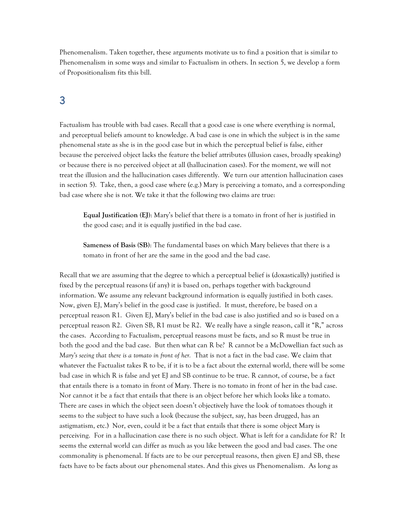Phenomenalism. Taken together, these arguments motivate us to find a position that is similar to Phenomenalism in some ways and similar to Factualism in others. In section 5, we develop a form of Propositionalism fits this bill.

## 3

Factualism has trouble with bad cases. Recall that a good case is one where everything is normal, and perceptual beliefs amount to knowledge. A bad case is one in which the subject is in the same phenomenal state as she is in the good case but in which the perceptual belief is false, either because the perceived object lacks the feature the belief attributes (illusion cases, broadly speaking) or because there is no perceived object at all (hallucination cases). For the moment, we will not treat the illusion and the hallucination cases differently. We turn our attention hallucination cases in section 5). Take, then, a good case where (e.g.) Mary is perceiving a tomato, and a corresponding bad case where she is not. We take it that the following two claims are true:

**Equal Justification (EJ)**: Mary's belief that there is a tomato in front of her is justified in the good case; and it is equally justified in the bad case.

**Sameness of Basis (SB)**: The fundamental bases on which Mary believes that there is a tomato in front of her are the same in the good and the bad case.

Recall that we are assuming that the degree to which a perceptual belief is (doxastically) justified is fixed by the perceptual reasons (if any) it is based on, perhaps together with background information. We assume any relevant background information is equally justified in both cases. Now, given EJ, Mary's belief in the good case is justified. It must, therefore, be based on a perceptual reason R1. Given EJ, Mary's belief in the bad case is also justified and so is based on a perceptual reason R2. Given SB, R1 must be R2. We really have a single reason, call it "R," across the cases. According to Factualism, perceptual reasons must be facts, and so R must be true in both the good and the bad case. But then what can R be? R cannot be a McDowellian fact such as *Mary's seeing that there is a tomato in front of her.* That is not a fact in the bad case. We claim that whatever the Factualist takes R to be, if it is to be a fact about the external world, there will be some bad case in which R is false and yet EJ and SB continue to be true. R cannot, of course, be a fact that entails there is a tomato in front of Mary. There is no tomato in front of her in the bad case. Nor cannot it be a fact that entails that there is an object before her which looks like a tomato. There are cases in which the object seen doesn't objectively have the look of tomatoes though it seems to the subject to have such a look (because the subject, say, has been drugged, has an astigmatism, etc.) Nor, even, could it be a fact that entails that there is some object Mary is perceiving. For in a hallucination case there is no such object. What is left for a candidate for R? It seems the external world can differ as much as you like between the good and bad cases. The one commonality is phenomenal. If facts are to be our perceptual reasons, then given EJ and SB, these facts have to be facts about our phenomenal states. And this gives us Phenomenalism. As long as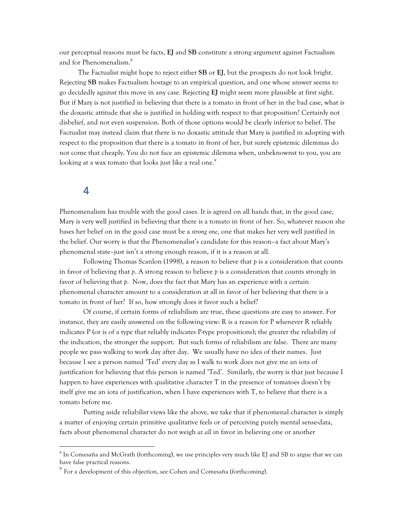our perceptual reasons must be facts, **EJ** and **SB** constitute a strong argument against Factualism and for Phenomenalism. 8

The Factualist might hope to reject either **SB** or **EJ**, but the prospects do not look bright. Rejecting **SB** makes Factualism hostage to an empirical question, and one whose answer seems to go decidedly against this move in any case. Rejecting **EJ** might seem more plausible at first sight. But if Mary is not justified in believing that there is a tomato in front of her in the bad case, what is the doxastic attitude that she is justified in holding with respect to that proposition? Certainly not disbelief, and not even suspension. Both of those options would be clearly inferior to belief. The Factualist may instead claim that there is no doxastic attitude that Mary is justified in adopting with respect to the proposition that there is a tomato in front of her, but surely epistemic dilemmas do not come that cheaply. You do not face an epistemic dilemma when, unbeknownst to you, you are looking at a wax tomato that looks just like a real one.<sup>9</sup>

### 4

Phenomenalism has trouble with the good cases. It is agreed on all hands that, in the good case, Mary is very well justified in believing that there is a tomato in front of her. So, whatever reason she bases her belief on in the good case must be a *strong one,* one that makes her very well justified in the belief. Our worry is that the Phenomenalist's candidate for this reason–a fact about Mary's phenomenal state–just isn't a strong enough reason, if it is a reason at all.

Following Thomas Scanlon (1998), a reason to believe that  $p$  is a consideration that counts in favor of believing that *p*. A strong reason to believe *p* is a consideration that counts strongly in favor of believing that *p*. Now, does the fact that Mary has an experience with a certain phenomenal character amount to a consideration at all in favor of her believing that there is a tomato in front of her? If so, how strongly does it favor such a belief?

Of course, if certain forms of reliabilism are true, these questions are easy to answer. For instance, they are easily answered on the following view: R is a reason for P whenever R reliably indicates P (or is of a type that reliably indicates P-type propositions); the greater the reliability of the indication, the stronger the support. But such forms of reliabilism are false. There are many people we pass walking to work day after day. We usually have no idea of their names. Just because I see a person named 'Ted' every day as I walk to work does not give me an iota of justification for believing that this person is named 'Ted'. Similarly, the worry is that just because I happen to have experiences with qualitative character  $T$  in the presence of tomatoes doesn't by itself give me an iota of justification, when I have experiences with T, to believe that there is a tomato before me.

Putting aside reliabilist views like the above, we take that if phenomenal character is simply a matter of enjoying certain primitive qualitative feels or of perceiving purely mental sense-data, facts about phenomenal character do not weigh *at all* in favor in believing one or another

 <sup>8</sup> In Comesaña and McGrath (forthcoming), we use principles very much like EJ and SB to argue that we can have false practical reasons.

 $9^9$  For a development of this objection, see Cohen and Comesaña (forthcoming).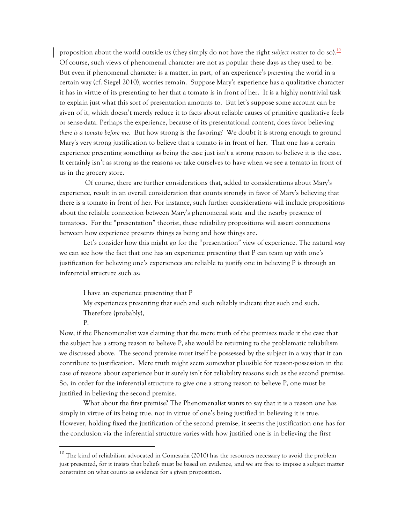proposition about the world outside us (they simply do not have the right *subject matter* to do so). 10 Of course, such views of phenomenal character are not as popular these days as they used to be. But even if phenomenal character is a matter, in part, of an experience's *presenting* the world in a certain way (cf. Siegel 2010), worries remain. Suppose Mary's experience has a qualitative character it has in virtue of its presenting to her that a tomato is in front of her. It is a highly nontrivial task to explain just what this sort of presentation amounts to. But let's suppose some account can be given of it, which doesn't merely reduce it to facts about reliable causes of primitive qualitative feels or sense-data. Perhaps the experience, because of its presentational content, does favor believing *there is a tomato before me.* But how strong is the favoring? We doubt it is strong enough to ground Mary's very strong justification to believe that a tomato is in front of her. That one has a certain experience presenting something as being the case just isn't a strong reason to believe it is the case. It certainly isn't as strong as the reasons *we* take ourselves to have when we see a tomato in front of us in the grocery store.

Of course, there are further considerations that, added to considerations about Mary's experience, result in an overall consideration that counts strongly in favor of Mary's believing that there is a tomato in front of her. For instance, such further considerations will include propositions about the reliable connection between Mary's phenomenal state and the nearby presence of tomatoes. For the "presentation" theorist, these reliability propositions will assert connections between how experience presents things as being and how things are.

Let's consider how this might go for the "presentation" view of experience. The natural way we can see how the fact that one has an experience presenting that P can team up with one's justification for believing one's experiences are reliable to justify one in believing P is through an inferential structure such as:

I have an experience presenting that P

My experiences presenting that such and such reliably indicate that such and such. Therefore (probably),

P.

Now, if the Phenomenalist was claiming that the mere truth of the premises made it the case that the subject has a strong reason to believe P, she would be returning to the problematic reliabilism we discussed above. The second premise must itself be possessed by the subject in a way that it can contribute to justification. Mere truth might seem somewhat plausible for reason-possession in the case of reasons about experience but it surely isn't for reliability reasons such as the second premise. So, in order for the inferential structure to give one a strong reason to believe P, one must be justified in believing the second premise.

What about the first premise? The Phenomenalist wants to say that it is a reason one has simply in virtue of its being true, not in virtue of one's being justified in believing it is true. However, holding fixed the justification of the second premise, it seems the justification one has for the conclusion via the inferential structure varies with how justified one is in believing the first

<sup>&</sup>lt;sup>10</sup> The kind of reliabilism advocated in Comesaña (2010) has the resources necessary to avoid the problem just presented, for it insists that beliefs must be based on evidence, and we are free to impose a subject matter constraint on what counts as evidence for a given proposition.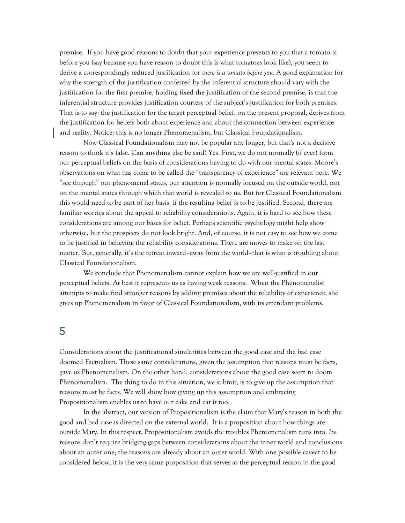premise. If you have good reasons to doubt that your experience presents to you that a tomato is before you (say because you have reason to doubt this is what tomatoes look like), you seem to derive a correspondingly reduced justification for *there is a tomato before you.* A good explanation for why the strength of the justification conferred by the inferential structure should vary with the justification for the first premise, holding fixed the justification of the second premise, is that the inferential structure provides justification courtesy of the subject's justification for both premises. That is to say: the justification for the target perceptual belief, on the present proposal, derives from the justification for beliefs both about experience and about the connection between experience and reality. Notice: this is no longer Phenomenalism, but Classical Foundationalism.

Now Classical Foundationalism may not be popular any longer, but that's not a decisive reason to think it's false. Can anything else be said? Yes. First, we do not normally (if ever) form our perceptual beliefs on the basis of considerations having to do with our mental states. Moore's observations on what has come to be called the "transparency of experience" are relevant here. We "see through" our phenomenal states, our attention is normally focused on the outside world, not on the mental states through which that world is revealed to us. But for Classical Foundationalism this would need to be part of her basis, if the resulting belief is to be justified. Second, there are familiar worries about the appeal to reliability considerations. Again, it is hard to see how these considerations are among our bases for belief. Perhaps scientific psychology might help show otherwise, but the prospects do not look bright. And, of course, it is not easy to see how we come to be justified in believing the reliability considerations. There are moves to make on the last matter. But, generally, it's the retreat inward–away from the world–that is what is troubling about Classical Foundationalism.

We conclude that Phenomenalism cannot explain how we are well-justified in our perceptual beliefs. At best it represents us as having weak reasons. When the Phenomenalist attempts to make find stronger reasons by adding premises about the reliability of experience, she gives up Phenomenalism in favor of Classical Foundationalism, with its attendant problems.

### 5

Considerations about the justificational similarities between the good case and the bad case doomed Factualism. These same considerations, given the assumption that reasons must be facts, gave us Phenomenalism. On the other hand, considerations about the good case seem to doom Phenomenalism. The thing to do in this situation, we submit, is to give up the assumption that reasons must be facts. We will show how giving up this assumption and embracing Propositionalism enables us to have our cake and eat it too.

In the abstract, our version of Propositionalism is the claim that Mary's reason in both the good and bad case is directed on the external world. It is a proposition about how things are outside Mary. In this respect, Propositionalism avoids the troubles Phenomenalism runs into. Its reasons don't require bridging gaps between considerations about the inner world and conclusions about an outer one; the reasons are already about an outer world. With one possible caveat to be considered below, it is the very same proposition that serves as the perceptual reason in the good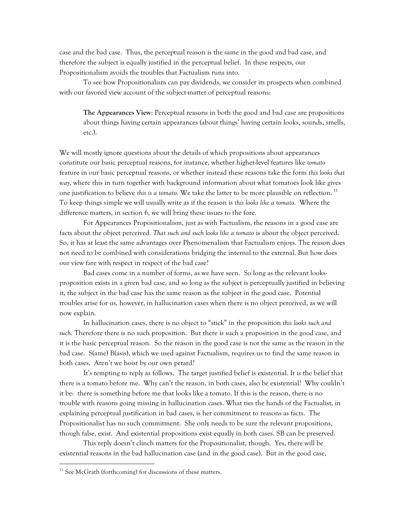case and the bad case. Thus, the perceptual reason is the same in the good and bad case, and therefore the subject is equally justified in the perceptual belief. In these respects, our Propositionalism avoids the troubles that Factualism runs into.

To see how Propositionalism can pay dividends, we consider its prospects when combined with our favored view account of the subject-matter of perceptual reasons:

**The Appearances View**: Perceptual reasons in both the good and bad case are propositions about things having certain appearances (about things' having certain looks, sounds, smells, etc.).

We will mostly ignore questions about the details of which propositions about appearances constitute our basic perceptual reasons, for instance, whether higher-level features like *tomato* feature in our basic perceptual reasons, or whether instead these reasons take the form *this looks that way,* where this in turn together with background information about what tomatoes look like gives one justification to believe *this is a tomato.* We take the latter to be more plausible on reflection. 11 To keep things simple we will usually write as if the reason is *this looks like a tomato.* Where the difference matters, in section 6, we will bring these issues to the fore.

For Appearances Propositionalism, just as with Factualism, the reasons in a good case are facts about the object perceived. *That such and such looks like a tomato* is about the object perceived. So, it has at least the same advantages over Phenomenalism that Factualism enjoys. The reason does not need to be combined with considerations bridging the internal to the external. But how does our view fare with respect in respect of the bad case?

Bad cases come in a number of forms, as we have seen. So long as the relevant looksproposition exists in a given bad case, and so long as the subject is perceptually justified in believing it, the subject in the bad case has the same reason as the subject in the good case. Potential troubles arise for us, however, in hallucination cases when there is no object perceived, as we will now explain.

In hallucination cases, there is no object to "stick" in the proposition *this looks such and such.* Therefore there is no such proposition. But there is such a proposition in the good case, and it is the basic perceptual reason. So the reason in the good case is not the same as the reason in the bad case. S(ame) B(asis), which we used against Factualism, requires us to find the same reason in both cases. Aren't we hoist by our own petard?

It's tempting to reply as follows. The target justified belief is existential. It is the belief that there is a tomato before me. Why can't the reason, in both cases, also be existential? Why couldn't it be: there is something before me that looks like a tomato. If this is the reason, there is no trouble with reasons going missing in hallucination cases. What ties the hands of the Factualist, in explaining perceptual justification in bad cases, is her commitment to reasons as facts. The Propositionalist has no such commitment. She only needs to be sure the relevant propositions, though false, exist. And existential propositions exist equally in both cases. SB can be preserved.

This reply doesn't clinch matters for the Propositionalist, though. Yes, there will be existential reasons in the bad hallucination case (and in the good case). But in the good case,

<sup>&</sup>lt;sup>11</sup> See McGrath (forthcoming) for discussions of these matters.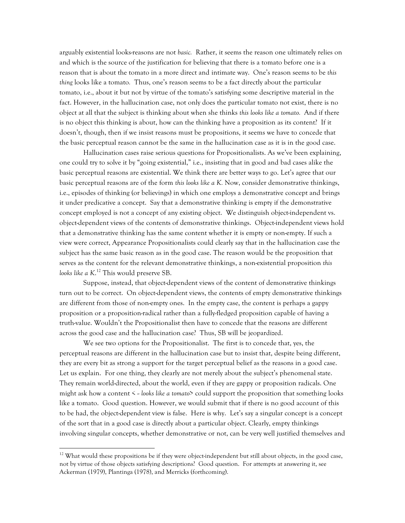arguably existential looks-reasons are not *basic.* Rather, it seems the reason one ultimately relies on and which is the source of the justification for believing that there is a tomato before one is a reason that is about the tomato in a more direct and intimate way. One's reason seems to be *this thing* looks like a tomato*.* Thus, one's reason seems to be a fact directly about the particular tomato, i.e., about it but not by virtue of the tomato's satisfying some descriptive material in the fact. However, in the hallucination case, not only does the particular tomato not exist, there is no object at all that the subject is thinking about when she thinks *this looks like a tomato.* And if there is no object this thinking is about, how can the thinking have a proposition as its content? If it doesn't, though, then if we insist reasons must be propositions, it seems we have to concede that the basic perceptual reason cannot be the same in the hallucination case as it is in the good case.

Hallucination cases raise serious questions for Propositionalists. As we've been explaining, one could try to solve it by "going existential," i.e., insisting that in good and bad cases alike the basic perceptual reasons are existential. We think there are better ways to go. Let's agree that our basic perceptual reasons are of the form *this looks like a K.* Now, consider demonstrative thinkings, i.e., episodes of thinking (or believings) in which one employs a demonstrative concept and brings it under predicative a concept. Say that a demonstrative thinking is empty if the demonstrative concept employed is not a concept of any existing object. We distinguish object-independent vs. object-dependent views of the contents of demonstrative thinkings. Object-independent views hold that a demonstrative thinking has the same content whether it is empty or non-empty. If such a view were correct, Appearance Propositionalists could clearly say that in the hallucination case the subject has the same basic reason as in the good case. The reason would be the proposition that serves as the content for the relevant demonstrative thinkings, a non-existential proposition *this looks like a K*. <sup>12</sup> This would preserve SB.

Suppose, instead, that object-dependent views of the content of demonstrative thinkings turn out to be correct. On object-dependent views, the contents of empty demonstrative thinkings are different from those of non-empty ones. In the empty case, the content is perhaps a gappy proposition or a proposition-radical rather than a fully-fledged proposition capable of having a truth-value. Wouldn't the Propositionalist then have to concede that the reasons are different across the good case and the hallucination case? Thus, SB will be jeopardized.

We see two options for the Propositionalist. The first is to concede that, yes, the perceptual reasons are different in the hallucination case but to insist that, despite being different, they are every bit as strong a support for the target perceptual belief as the reasons in a good case. Let us explain. For one thing, they clearly are not merely about the subject's phenomenal state. They remain world-directed, about the world, even if they are gappy or proposition radicals. One might ask how a content  $\lt \sim$  *looks like a tomato*  $\gt$  could support the proposition that something looks like a tomato. Good question. However, we would submit that if there is no good account of this to be had, the object-dependent view is false. Here is why. Let's say a singular concept is a concept of the sort that in a good case is directly about a particular object. Clearly, empty thinkings involving singular concepts, whether demonstrative or not, can be very well justified themselves and

<sup>&</sup>lt;sup>12</sup> What would these propositions be if they were object-independent but still about objects, in the good case, not by virtue of those objects satisfying descriptions? Good question. For attempts at answering it, see Ackerman (1979), Plantinga (1978), and Merricks (forthcoming).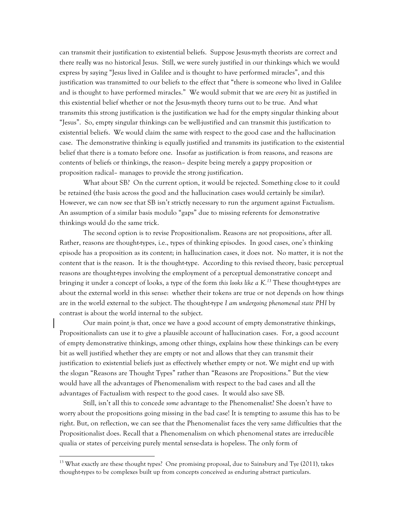can transmit their justification to existential beliefs. Suppose Jesus-myth theorists are correct and there really was no historical Jesus. Still, we were surely justified in our thinkings which we would express by saying "Jesus lived in Galilee and is thought to have performed miracles", and this justification was transmitted to our beliefs to the effect that "there is someone who lived in Galilee and is thought to have performed miracles." We would submit that we are *every bit* as justified in this existential belief whether or not the Jesus-myth theory turns out to be true. And what transmits this strong justification is the justification we had for the empty singular thinking about "Jesus". So, empty singular thinkings can be well-justified and can transmit this justification to existential beliefs. We would claim the same with respect to the good case and the hallucination case. The demonstrative thinking is equally justified and transmits its justification to the existential belief that there is a tomato before one. Insofar as justification is from reasons, and reasons are contents of beliefs or thinkings, the reason– despite being merely a gappy proposition or proposition radical– manages to provide the strong justification.

What about SB? On the current option, it would be rejected. Something close to it could be retained (the basis across the good and the hallucination cases would certainly be similar). However, we can now see that SB isn't strictly necessary to run the argument against Factualism. An assumption of a similar basis modulo "gaps" due to missing referents for demonstrative thinkings would do the same trick.

The second option is to revise Propositionalism. Reasons are *not* propositions, after all. Rather, reasons are thought-types, i.e., types of thinking episodes. In good cases, one's thinking episode has a proposition as its content; in hallucination cases, it does not. No matter, it is not the content that is the reason. It is the thought-type. According to this revised theory, basic perceptual reasons are thought-types involving the employment of a perceptual demonstrative concept and bringing it under a concept of looks, a type of the form *this looks like a K. <sup>13</sup>* These thought-types are about the external world in this sense: whether their tokens are true or not depends on how things are in the world external to the subject. The thought-type *I am undergoing phenomenal state PHI* by contrast is about the world internal to the subject.

Our main point is that, once we have a good account of empty demonstrative thinkings, Propositionalists can use it to give a plausible account of hallucination cases. For, a good account of empty demonstrative thinkings, among other things, explains how these thinkings can be every bit as well justified whether they are empty or not and allows that they can transmit their justification to existential beliefs just as effectively whether empty or not. We might end up with the slogan "Reasons are Thought Types" rather than "Reasons are Propositions." But the view would have all the advantages of Phenomenalism with respect to the bad cases and all the advantages of Factualism with respect to the good cases. It would also save SB.

Still, isn't all this to concede *some* advantage to the Phenomenalist? She doesn't have to worry about the propositions going missing in the bad case! It is tempting to assume this has to be right. But, on reflection, we can see that the Phenomenalist faces the very same difficulties that the Propositionalist does. Recall that a Phenomenalism on which phenomenal states are irreducible qualia or states of perceiving purely mental sense-data is hopeless. The only form of

<sup>&</sup>lt;sup>13</sup> What exactly are these thought types? One promising proposal, due to Sainsbury and Tye (2011), takes thought-types to be complexes built up from concepts conceived as enduring abstract particulars.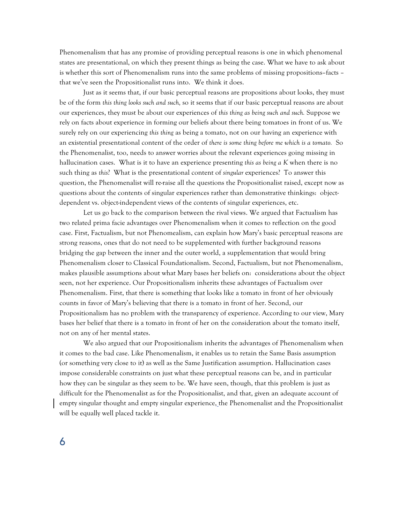Phenomenalism that has any promise of providing perceptual reasons is one in which phenomenal states are presentational, on which they present things as being the case. What we have to ask about is whether this sort of Phenomenalism runs into the same problems of missing propositions–facts – that we've seen the Propositionalist runs into. We think it does.

Just as it seems that, if our basic perceptual reasons are propositions about looks, they must be of the form *this thing looks such and such,* so it seems that if our basic perceptual reasons are about our experiences, they must be about our experiences of *this thing as being such and such.* Suppose we rely on facts about experience in forming our beliefs about there being tomatoes in front of us. We surely rely on our experiencing *this thing* as being a tomato, not on our having an experience with an existential presentational content of the order of *there is some thing before me which is a tomato.* So the Phenomenalist, too, needs to answer worries about the relevant experiences going missing in hallucination cases. What is it to have an experience presenting *this as being a K* when there is no such thing as *this*? What is the presentational content of *singular* experiences? To answer this question, the Phenomenalist will re-raise all the questions the Propositionalist raised, except now as questions about the contents of singular experiences rather than demonstrative thinkings: objectdependent vs. object-independent views of the contents of singular experiences, etc.

Let us go back to the comparison between the rival views. We argued that Factualism has two related prima facie advantages over Phenomenalism when it comes to reflection on the good case. First, Factualism, but not Phenomealism, can explain how Mary's basic perceptual reasons are strong reasons, ones that do not need to be supplemented with further background reasons bridging the gap between the inner and the outer world, a supplementation that would bring Phenomenalism closer to Classical Foundationalism. Second, Factualism, but not Phenomenalism, makes plausible assumptions about what Mary bases her beliefs on: considerations about the object seen, not her experience. Our Propositionalism inherits these advantages of Factualism over Phenomenalism. First, that there is something that looks like a tomato in front of her obviously counts in favor of Mary's believing that there is a tomato in front of her. Second, our Propositionalism has no problem with the transparency of experience. According to our view, Mary bases her belief that there is a tomato in front of her on the consideration about the tomato itself, not on any of her mental states.

We also argued that our Propositionalism inherits the advantages of Phenomenalism when it comes to the bad case. Like Phenomenalism, it enables us to retain the Same Basis assumption (or something very close to it) as well as the Same Justification assumption. Hallucination cases impose considerable constraints on just what these perceptual reasons can be, and in particular how they can be singular as they seem to be. We have seen, though, that this problem is just as difficult for the Phenomenalist as for the Propositionalist, and that, given an adequate account of empty singular thought and empty singular experience, the Phenomenalist and the Propositionalist will be equally well placed tackle it.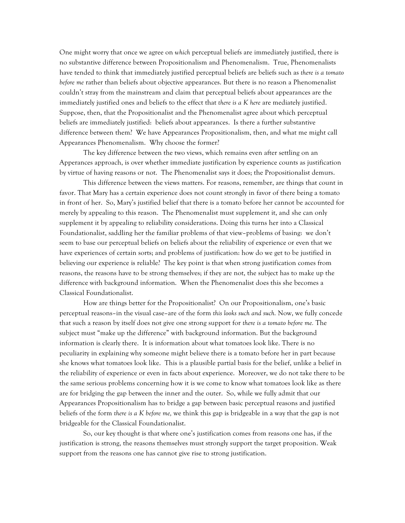One might worry that once we agree on *which* perceptual beliefs are immediately justified, there is no substantive difference between Propositionalism and Phenomenalism. True, Phenomenalists have tended to think that immediately justified perceptual beliefs are beliefs such as *there is a tomato before me* rather than beliefs about objective appearances. But there is no reason a Phenomenalist couldn't stray from the mainstream and claim that perceptual beliefs about appearances are the immediately justified ones and beliefs to the effect that *there is a K here* are mediately justified. Suppose, then, that the Propositionalist and the Phenomenalist agree about which perceptual beliefs are immediately justified: beliefs about appearances. Is there a further substantive difference between them? We have Appearances Propositionalism, then, and what me might call Appearances Phenomenalism. Why choose the former?

The key difference between the two views, which remains even after settling on an Apperances approach, is over whether immediate justification by experience counts as justification by virtue of having reasons or not. The Phenomenalist says it does; the Propositionalist demurs.

This difference between the views matters. For reasons, remember, are things that count in favor. That Mary has a certain experience does not count strongly in favor of there being a tomato in front of her. So, Mary's justified belief that there is a tomato before her cannot be accounted for merely by appealing to this reason. The Phenomenalist must supplement it, and she can only supplement it by appealing to reliability considerations. Doing this turns her into a Classical Foundationalist, saddling her the familiar problems of that view–problems of basing: we don't seem to base our perceptual beliefs on beliefs about the reliability of experience or even that we have experiences of certain sorts; and problems of justification: how do we get to be justified in believing our experience is reliable? The key point is that when strong justification comes from reasons, the reasons have to be strong themselves; if they are not, the subject has to make up the difference with background information. When the Phenomenalist does this she becomes a Classical Foundationalist.

How are things better for the Propositionalist? On our Propositionalism, one's basic perceptual reasons–in the visual case–are of the form *this looks such and such.* Now, we fully concede that such a reason by itself does not give one strong support for *there is a tomato before me.* The subject must "make up the difference" with background information. But the background information is clearly there. It is information about what tomatoes look like. There is no peculiarity in explaining why someone might believe there is a tomato before her in part because she knows what tomatoes look like. This is a plausible partial basis for the belief, unlike a belief in the reliability of experience or even in facts about experience. Moreover, we do not take there to be the same serious problems concerning how it is we come to know what tomatoes look like as there are for bridging the gap between the inner and the outer. So, while we fully admit that our Appearances Propositionalism has to bridge a gap between basic perceptual reasons and justified beliefs of the form *there is a K before me,* we think this gap is bridgeable in a way that the gap is not bridgeable for the Classical Foundationalist.

So, our key thought is that where one's justification comes from reasons one has, if the justification is strong, the reasons themselves must strongly support the target proposition. Weak support from the reasons one has cannot give rise to strong justification.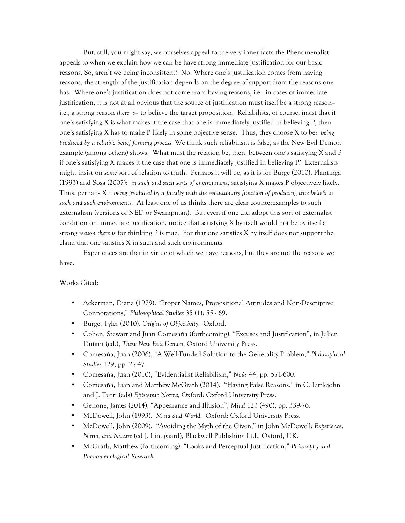But, still, you might say, we ourselves appeal to the very inner facts the Phenomenalist appeals to when we explain how we can be have strong immediate justification for our basic reasons. So, aren't we being inconsistent? No. Where one's justification comes from having reasons, the strength of the justification depends on the degree of support from the reasons one has. Where one's justification does not come from having reasons, i.e., in cases of immediate justification, it is not at all obvious that the source of justification must itself be a strong reason– i.e., a strong reason *there is*– to believe the target proposition. Reliabilists, of course, insist that if one's satisfying X is what makes it the case that one is immediately justified in believing P, then one's satisfying X has to make P likely in some objective sense. Thus, they choose X to be: *being produced by a reliable belief forming process.* We think such reliabilism is false, as the New Evil Demon example (among others) shows. What must the relation be, then, between one's satisfying X and P if one's satisfying X makes it the case that one is immediately justified in believing P? Externalists might insist on *some* sort of relation to truth. Perhaps it will be, as it is for Burge (2010), Plantinga (1993) and Sosa (2007): *in such and such sorts of environment,* satisfying X makes P objectively likely. Thus, perhaps X = *being produced by a faculty with the evolutionary function of producing true beliefs in such and such environments.* At least one of us thinks there are clear counterexamples to such externalism (versions of NED or Swampman). But even if one did adopt this sort of externalist condition on immediate justification, notice that satisfying X by itself would not be by itself a strong *reason there is* for thinking P is true. For that one satisfies X by itself does not support the claim that one satisfies X in such and such environments.

Experiences are that in virtue of which we have reasons, but they are not the reasons we have.

#### Works Cited:

- Ackerman, Diana (1979). "Proper Names, Propositional Attitudes and Non-Descriptive Connotations," *Philosophical Studies* 35 (1): 55 - 69.
- Burge, Tyler (2010). *Origins of Objectivity.* Oxford.
- Cohen, Stewart and Juan Comesaña (forthcoming), "Excuses and Justification", in Julien Dutant (ed.), *Thew New Evil Demon*, Oxford University Press.
- Comesaña, Juan (2006), "A Well-Funded Solution to the Generality Problem," *Philosophical Studies* 129, pp. 27-47.
- Comesaña, Juan (2010), "Evidentialist Reliabilism," *Noûs* 44, pp. 571-600.
- Comesaña, Juan and Matthew McGrath (2014). "Having False Reasons," in C. Littlejohn and J. Turri (eds) *Epistemic Norms,* Oxford: Oxford University Press.
- Genone, James (2014), "Appearance and Illusion", *Mind* 123 (490), pp. 339-76.
- McDowell, John (1993). *Mind and World.* Oxford: Oxford University Press.
- McDowell, John (2009). "Avoiding the Myth of the Given," in John McDowell: *Experience, Norm, and Nature* (ed J. Lindgaard), Blackwell Publishing Ltd., Oxford, UK.
- McGrath, Matthew (forthcoming). "Looks and Perceptual Justification," *Philosophy and Phenomenological Research.*